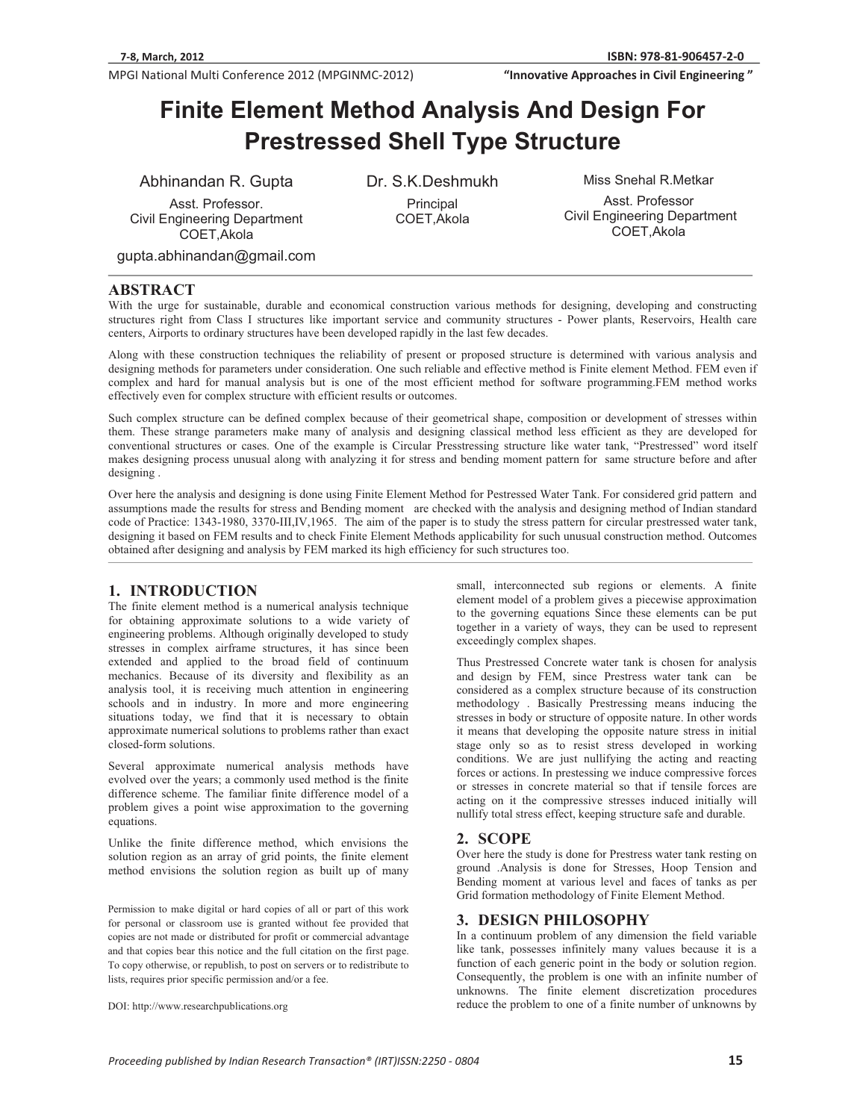**We are the Civil Engineering**<br> **812-11 Civil Engineering "InnovativeApproachesinCivilEngineering"**

# **Finite Element Method Analysis And Design For Prestressed Shell Type Structure**

Abhinandan R. Gupta

Asst. Professor. Civil Engineering Department COET,Akola

Dr. S.K.Deshmukh Principal COET,Akola

Miss Snehal R.Metkar

Asst. Professor Civil Engineering Department COET,Akola

gupta.abhinandan@gmail.com

# **ABSTRACT**

With the urge for sustainable, durable and economical construction various methods for designing, developing and constructing structures right from Class I structures like important service and community structures - Power plants, Reservoirs, Health care centers, Airports to ordinary structures have been developed rapidly in the last few decades.

Along with these construction techniques the reliability of present or proposed structure is determined with various analysis and designing methods for parameters under consideration. One such reliable and effective method is Finite element Method. FEM even if complex and hard for manual analysis but is one of the most efficient method for software programming.FEM method works effectively even for complex structure with efficient results or outcomes.

Such complex structure can be defined complex because of their geometrical shape, composition or development of stresses within them. These strange parameters make many of analysis and designing classical method less efficient as they are developed for conventional structures or cases. One of the example is Circular Presstressing structure like water tank, "Prestressed" word itself makes designing process unusual along with analyzing it for stress and bending moment pattern for same structure before and after designing .

Over here the analysis and designing is done using Finite Element Method for Pestressed Water Tank. For considered grid pattern and assumptions made the results for stress and Bending moment are checked with the analysis and designing method of Indian standard code of Practice: 1343-1980, 3370-III,IV,1965. The aim of the paper is to study the stress pattern for circular prestressed water tank, designing it based on FEM results and to check Finite Element Methods applicability for such unusual construction method. Outcomes obtained after designing and analysis by FEM marked its high efficiency for such structures too.

# **1. INTRODUCTION**

The finite element method is a numerical analysis technique for obtaining approximate solutions to a wide variety of engineering problems. Although originally developed to study stresses in complex airframe structures, it has since been extended and applied to the broad field of continuum mechanics. Because of its diversity and flexibility as an analysis tool, it is receiving much attention in engineering schools and in industry. In more and more engineering situations today, we find that it is necessary to obtain approximate numerical solutions to problems rather than exact closed-form solutions.

Several approximate numerical analysis methods have evolved over the years; a commonly used method is the finite difference scheme. The familiar finite difference model of a problem gives a point wise approximation to the governing equations.

Unlike the finite difference method, which envisions the solution region as an array of grid points, the finite element method envisions the solution region as built up of many

Permission to make digital or hard copies of all or part of this work for personal or classroom use is granted without fee provided that copies are not made or distributed for profit or commercial advantage and that copies bear this notice and the full citation on the first page. To copy otherwise, or republish, to post on servers or to redistribute to lists, requires prior specific permission and/or a fee.

DOI: http://www.researchpublications.org

small, interconnected sub regions or elements. A finite element model of a problem gives a piecewise approximation to the governing equations Since these elements can be put together in a variety of ways, they can be used to represent exceedingly complex shapes.

Thus Prestressed Concrete water tank is chosen for analysis and design by FEM, since Prestress water tank can be considered as a complex structure because of its construction methodology . Basically Prestressing means inducing the stresses in body or structure of opposite nature. In other words it means that developing the opposite nature stress in initial stage only so as to resist stress developed in working conditions. We are just nullifying the acting and reacting forces or actions. In prestessing we induce compressive forces or stresses in concrete material so that if tensile forces are acting on it the compressive stresses induced initially will nullify total stress effect, keeping structure safe and durable.

### **2. SCOPE**

Over here the study is done for Prestress water tank resting on ground .Analysis is done for Stresses, Hoop Tension and Bending moment at various level and faces of tanks as per Grid formation methodology of Finite Element Method.

### **3. DESIGN PHILOSOPHY**

In a continuum problem of any dimension the field variable like tank, possesses infinitely many values because it is a function of each generic point in the body or solution region. Consequently, the problem is one with an infinite number of unknowns. The finite element discretization procedures reduce the problem to one of a finite number of unknowns by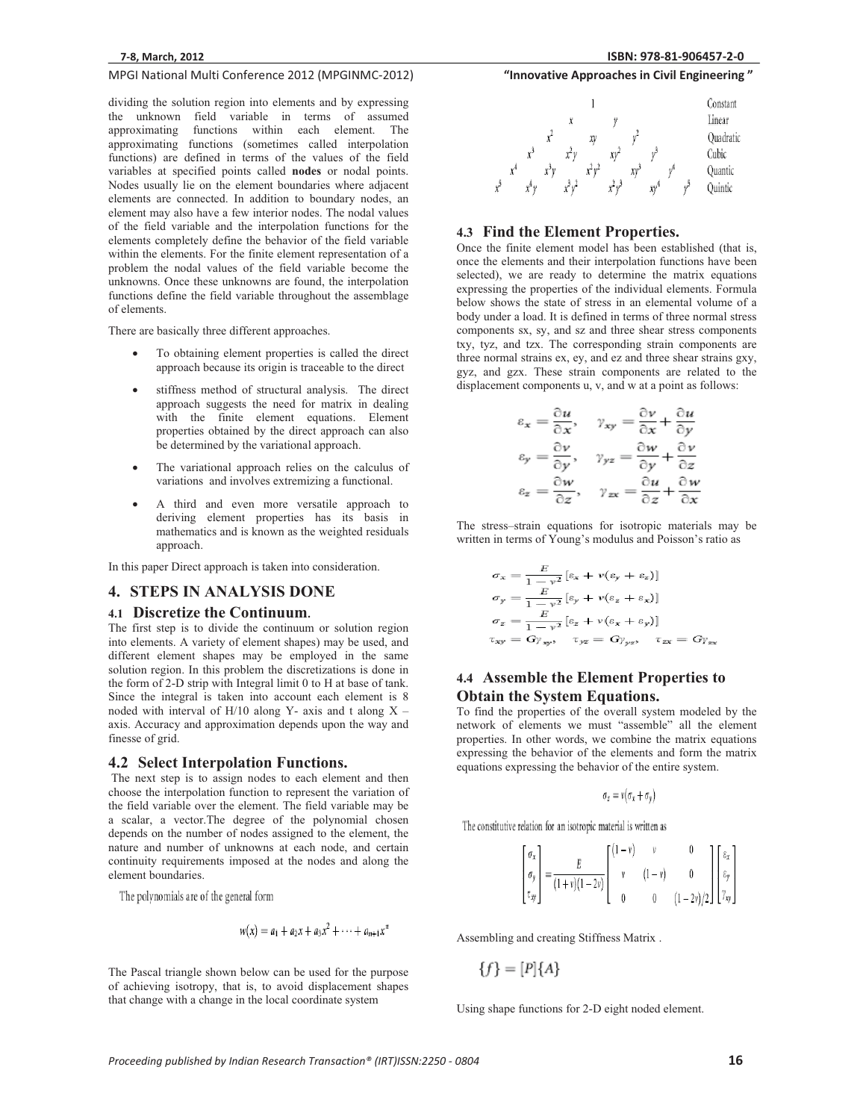dividing the solution region into elements and by expressing the unknown field variable in terms of assumed approximating functions within each element. The approximating functions (sometimes called interpolation functions) are defined in terms of the values of the field variables at specified points called **nodes** or nodal points. Nodes usually lie on the element boundaries where adjacent elements are connected. In addition to boundary nodes, an element may also have a few interior nodes. The nodal values of the field variable and the interpolation functions for the elements completely define the behavior of the field variable within the elements. For the finite element representation of a problem the nodal values of the field variable become the unknowns. Once these unknowns are found, the interpolation functions define the field variable throughout the assemblage of elements.

There are basically three different approaches.

- - To obtaining element properties is called the direct approach because its origin is traceable to the direct
- stiffness method of structural analysis. The direct approach suggests the need for matrix in dealing with the finite element equations. Element properties obtained by the direct approach can also be determined by the variational approach.
- - The variational approach relies on the calculus of variations and involves extremizing a functional.
- - A third and even more versatile approach to deriving element properties has its basis in mathematics and is known as the weighted residuals approach.

In this paper Direct approach is taken into consideration.

### **4. STEPS IN ANALYSIS DONE**

#### **4.1 Discretize the Continuum.**

The first step is to divide the continuum or solution region into elements. A variety of element shapes) may be used, and different element shapes may be employed in the same solution region. In this problem the discretizations is done in the form of 2-D strip with Integral limit 0 to H at base of tank. Since the integral is taken into account each element is 8 noded with interval of  $H/10$  along Y- axis and t along X – axis. Accuracy and approximation depends upon the way and finesse of grid.

### **4.2 Select Interpolation Functions.**

 The next step is to assign nodes to each element and then choose the interpolation function to represent the variation of the field variable over the element. The field variable may be a scalar, a vector.The degree of the polynomial chosen depends on the number of nodes assigned to the element, the nature and number of unknowns at each node, and certain continuity requirements imposed at the nodes and along the element boundaries.

The polynomials are of the general form

$$
w(x) = a_1 + a_2x + a_3x^2 + \cdots + a_{n+1}x^n
$$

The Pascal triangle shown below can be used for the purpose of achieving isotropy, that is, to avoid displacement shapes that change with a change in the local coordinate system

# **81-906457-2-0**



### **4.3 Find the Element Properties.**

Once the finite element model has been established (that is, once the elements and their interpolation functions have been selected), we are ready to determine the matrix equations expressing the properties of the individual elements. Formula below shows the state of stress in an elemental volume of a body under a load. It is defined in terms of three normal stress components sx, sy, and sz and three shear stress components txy, tyz, and tzx. The corresponding strain components are three normal strains ex, ey, and ez and three shear strains gxy, gyz, and gzx. These strain components are related to the displacement components u, v, and w at a point as follows:

$$
\varepsilon_x = \frac{\partial u}{\partial x}, \quad \gamma_{xy} = \frac{\partial v}{\partial x} + \frac{\partial u}{\partial y}
$$

$$
\varepsilon_y = \frac{\partial v}{\partial y}, \quad \gamma_{yz} = \frac{\partial w}{\partial y} + \frac{\partial v}{\partial z}
$$

$$
\varepsilon_z = \frac{\partial w}{\partial z}, \quad \gamma_{zx} = \frac{\partial u}{\partial z} + \frac{\partial w}{\partial x}
$$

The stress–strain equations for isotropic materials may be written in terms of Young's modulus and Poisson's ratio as

$$
\sigma_x = \frac{E}{1 - v^2} [e_x + v(e_y + e_z)]
$$
  
\n
$$
\sigma_y = \frac{E}{1 - v^2} [e_y + v(e_z + e_x)]
$$
  
\n
$$
\sigma_z = \frac{E}{1 - v^2} [e_z + v(e_x + e_y)]
$$
  
\n
$$
\tau_{xy} = G\gamma_{xy}, \quad \tau_{yz} = G\gamma_{yz}, \quad \tau_{zx} = G\gamma_{zx}
$$

# **4.4 Assemble the Element Properties to Obtain the System Equations.**

To find the properties of the overall system modeled by the network of elements we must "assemble" all the element properties. In other words, we combine the matrix equations expressing the behavior of the elements and form the matrix equations expressing the behavior of the entire system.

$$
\sigma_z = v(\sigma_x + \sigma_y)
$$

The constitutive relation for an isotropic material is written as

$$
\begin{bmatrix}\n\sigma_x \\
\sigma_y \\
\tau_{xy}\n\end{bmatrix} = \frac{E}{(1+v)(1-2v)} \begin{bmatrix}\n(1-v) & v & 0 \\
v & (1-v) & 0 \\
0 & 0 & (1-2v)/2\n\end{bmatrix} \begin{bmatrix}\n\varepsilon_x \\
\varepsilon_y \\
v_{xy}\n\end{bmatrix}
$$

Assembling and creating Stiffness Matrix .

 ${f} = [P]{A}$ 

Using shape functions for 2-D eight noded element.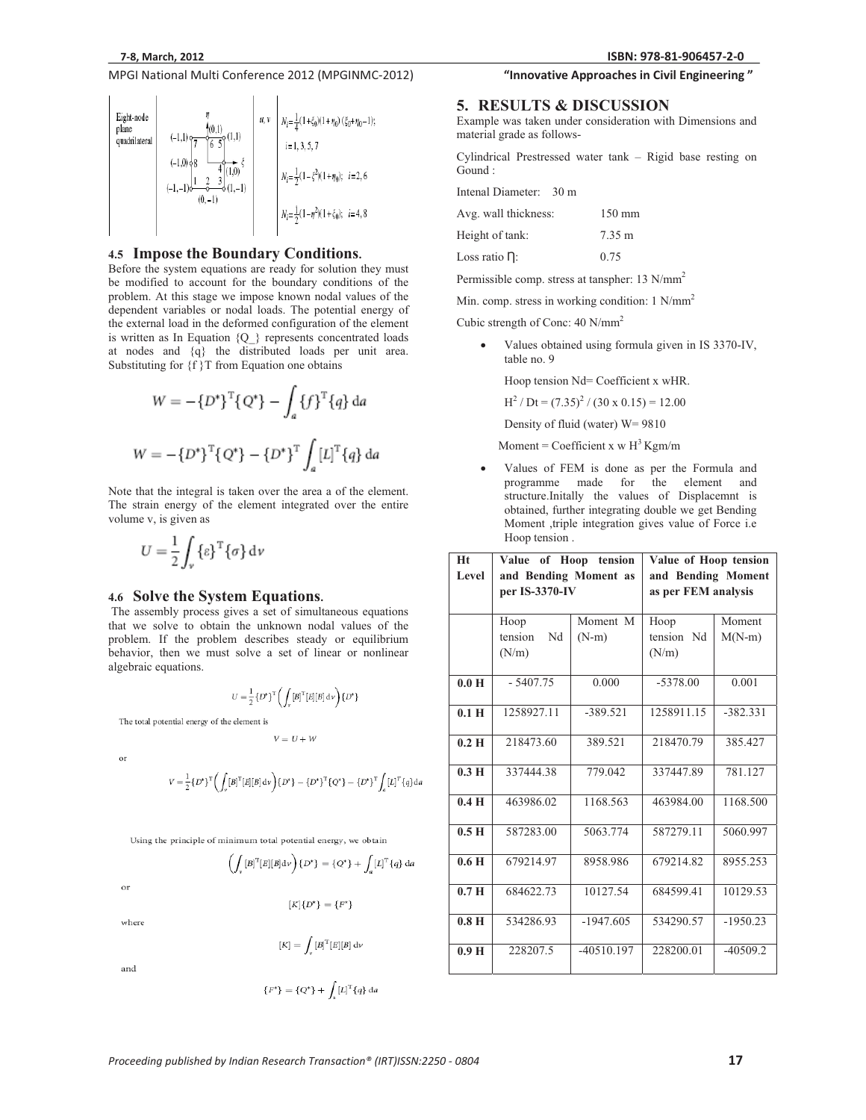

#### **4.5 Impose the Boundary Conditions.**

Before the system equations are ready for solution they must be modified to account for the boundary conditions of the problem. At this stage we impose known nodal values of the dependent variables or nodal loads. The potential energy of the external load in the deformed configuration of the element is written as In Equation {Q\_} represents concentrated loads at nodes and {q} the distributed loads per unit area. Substituting for  ${f}$  T from Equation one obtains

$$
W = -\{D^*\}^{T}\{Q^*\} - \int_a \{f\}^{T}\{q\} da
$$

$$
W = -\{D^*\}^{T}\{Q^*\} - \{D^*\}^{T} \int_a [L]^T\{q\} da
$$

Note that the integral is taken over the area a of the element. The strain energy of the element integrated over the entire volume v, is given as

$$
U = \frac{1}{2} \int_{\nu} {\{\varepsilon\}}^{\mathrm{T}} {\{\sigma\}} \, \mathrm{d}\nu
$$

#### **4.6 Solve the System Equations.**

 The assembly process gives a set of simultaneous equations that we solve to obtain the unknown nodal values of the problem. If the problem describes steady or equilibrium behavior, then we must solve a set of linear or nonlinear algebraic equations.

$$
U = \frac{1}{2} \left\{ D^* \right\}^{\mathrm{T}} \! \left( \int_{\boldsymbol{\nu}} \! \left[ B \right] ^{\mathrm{T}} \! \left[ E \right] \! \left[ B \right] \mathrm{d} \boldsymbol{\nu} \right) \! \left\{ D^* \right\}
$$

The total potential energy of the element is

or

$$
V=\frac{1}{2}\{D^*\}^{\mathbb{T}}\Big(\int_{\mathbb{T}}{[B]}^{\mathbb{T}}[E][B]\,\mathrm{d}\nu\Big)\{D^*\}-\{D^*\}^{\mathbb{T}}\{Q^*\}-\{D^*\}^{\mathbb{T}}\int_a [L]^{\mathbb{T}}\{q\}\mathrm{d}a
$$

 $V = U + W$ 

Using the principle of minimum total potential energy, we obtain

$$
\left(\int_{v} [B]^{\mathrm{T}} [E][B] \mathrm{d}v\right) \{D^*\} = \{Q^*\} + \int_{a} [L]^{\mathrm{T}} \{q\} \, \mathrm{d}a
$$

 $_{\alpha}$ r

$$
[K]\{D^*\}=\{F^*\}
$$

$$
[K]=\int_{\mathbb{R}}[B]^{\mathrm{T}}[E][B]\,\mathrm{d}\nu
$$

and

where

$$
\{F^*\} = \{Q^*\} + \int_{a} [L]^T \{q\} \, \mathrm{d}a
$$

# **81-906457-2-0 "InnovativeApproachesinCivilEngineering"**

### **5. RESULTS & DISCUSSION**

Example was taken under consideration with Dimensions and material grade as follows-

Cylindrical Prestressed water tank – Rigid base resting on Gound :

Intenal Diameter: 30 m

| Avg. wall thickness: | $150 \text{ mm}$ |
|----------------------|------------------|
| Height of tank:      | 7.35 m           |
| Loss ratio $\eta$ :  | 0.75             |

Permissible comp. stress at tanspher: 13 N/mm2

Min. comp. stress in working condition: 1 N/mm<sup>2</sup>

Cubic strength of Conc: 40 N/mm2

- Values obtained using formula given in IS 3370-IV, table no. 9

Hoop tension Nd= Coefficient x wHR.

 $H^2$  / Dt =  $(7.35)^2$  /  $(30 \times 0.15) = 12.00$ 

Density of fluid (water) W= 9810

Moment = Coefficient x w  $H<sup>3</sup>$  Kgm/m

- Values of FEM is done as per the Formula and programme made for the element and structure.Initally the values of Displacemnt is obtained, further integrating double we get Bending Moment ,triple integration gives value of Force i.e Hoop tension .

| Ht<br>Level      | Value of Hoop tension<br>and Bending Moment as<br>per IS-3370-IV |              | Value of Hoop tension<br>and Bending Moment<br>as per FEM analysis |            |
|------------------|------------------------------------------------------------------|--------------|--------------------------------------------------------------------|------------|
|                  | Hoop                                                             | Moment M     | Hoop                                                               | Moment     |
|                  | tension<br>Nd<br>(N/m)                                           | $(N-m)$      | tension Nd<br>(N/m)                                                | $M(N-m)$   |
|                  |                                                                  |              |                                                                    |            |
| 0.0 H            | $-5407.75$                                                       | 0.000        | $-5378.00$                                                         | 0.001      |
| 0.1 <sub>H</sub> | 1258927.11                                                       | $-389.521$   | 1258911.15                                                         | $-382.331$ |
| $0.2$ H          | 218473.60                                                        | 389.521      | 218470.79                                                          | 385.427    |
| 0.3H             | 337444.38                                                        | 779.042      | 337447.89                                                          | 781.127    |
| 0.4H             | 463986.02                                                        | 1168.563     | 463984.00                                                          | 1168.500   |
| 0.5H             | 587283.00                                                        | 5063.774     | 587279.11                                                          | 5060.997   |
| 0.6 <sub>H</sub> | 679214.97                                                        | 8958.986     | 679214.82                                                          | 8955.253   |
| 0.7 <sub>H</sub> | 684622.73                                                        | 10127.54     | 684599.41                                                          | 10129.53   |
| 0.8 <sub>H</sub> | 534286.93                                                        | $-1947.605$  | 534290.57                                                          | $-1950.23$ |
| 0.9 <sub>H</sub> | 228207.5                                                         | $-40510.197$ | 228200.01                                                          | $-40509.2$ |